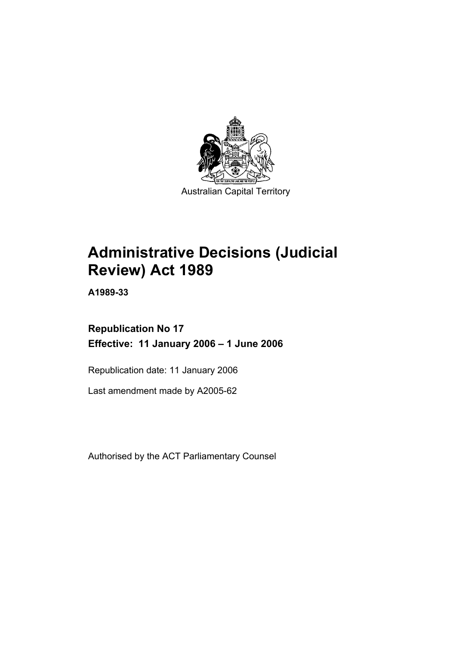

# **Administrative Decisions (Judicial Review) Act 1989**

**A1989-33** 

**Republication No 17 Effective: 11 January 2006 – 1 June 2006** 

Republication date: 11 January 2006

Last amendment made by A2005-62

Authorised by the ACT Parliamentary Counsel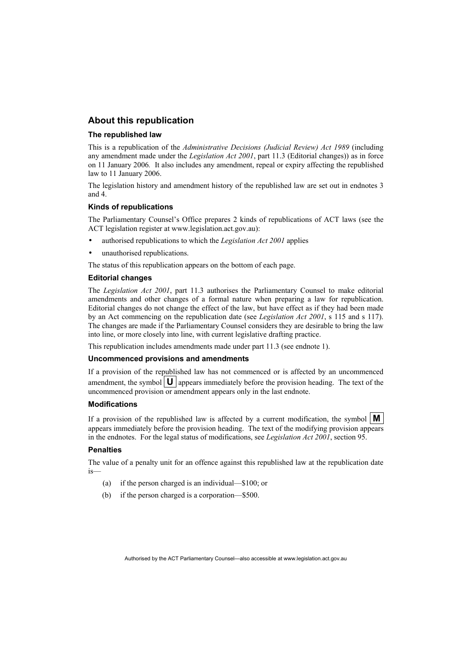# **About this republication**

#### **The republished law**

This is a republication of the *Administrative Decisions (Judicial Review) Act 1989* (including any amendment made under the *Legislation Act 2001*, part 11.3 (Editorial changes)) as in force on 11 January 2006*.* It also includes any amendment, repeal or expiry affecting the republished law to 11 January 2006.

The legislation history and amendment history of the republished law are set out in endnotes 3 and 4.

#### **Kinds of republications**

The Parliamentary Counsel's Office prepares 2 kinds of republications of ACT laws (see the ACT legislation register at www.legislation.act.gov.au):

- authorised republications to which the *Legislation Act 2001* applies
- unauthorised republications.

The status of this republication appears on the bottom of each page.

#### **Editorial changes**

The *Legislation Act 2001*, part 11.3 authorises the Parliamentary Counsel to make editorial amendments and other changes of a formal nature when preparing a law for republication. Editorial changes do not change the effect of the law, but have effect as if they had been made by an Act commencing on the republication date (see *Legislation Act 2001*, s 115 and s 117). The changes are made if the Parliamentary Counsel considers they are desirable to bring the law into line, or more closely into line, with current legislative drafting practice.

This republication includes amendments made under part 11.3 (see endnote 1).

#### **Uncommenced provisions and amendments**

If a provision of the republished law has not commenced or is affected by an uncommenced amendment, the symbol  $\mathbf{U}$  appears immediately before the provision heading. The text of the uncommenced provision or amendment appears only in the last endnote.

#### **Modifications**

If a provision of the republished law is affected by a current modification, the symbol  $\mathbf{M}$ appears immediately before the provision heading. The text of the modifying provision appears in the endnotes. For the legal status of modifications, see *Legislation Act 2001*, section 95.

#### **Penalties**

The value of a penalty unit for an offence against this republished law at the republication date is—

- (a) if the person charged is an individual—\$100; or
- (b) if the person charged is a corporation—\$500.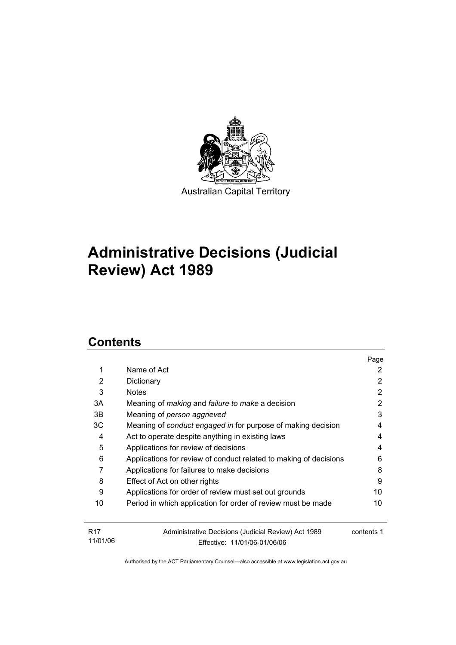

# **Administrative Decisions (Judicial Review) Act 1989**

# **Contents**

11/01/06

|                 |                                                                   | Page       |
|-----------------|-------------------------------------------------------------------|------------|
| 1               | Name of Act                                                       | 2          |
| 2               | Dictionary                                                        | 2          |
| 3               | <b>Notes</b>                                                      | 2          |
| 3A              | Meaning of <i>making</i> and <i>failure to make</i> a decision    | 2          |
| 3B              | Meaning of person aggrieved                                       | 3          |
| ЗC              | Meaning of conduct engaged in for purpose of making decision      | 4          |
| 4               | Act to operate despite anything in existing laws                  | 4          |
| 5               | Applications for review of decisions                              | 4          |
| 6               | Applications for review of conduct related to making of decisions | 6          |
| 7               | Applications for failures to make decisions                       | 8          |
| 8               | Effect of Act on other rights                                     | 9          |
| 9               | Applications for order of review must set out grounds             | 10         |
| 10              | Period in which application for order of review must be made      | 10         |
| R <sub>17</sub> | Administrative Decisions (Judicial Review) Act 1989               | contents 1 |

Authorised by the ACT Parliamentary Counsel—also accessible at www.legislation.act.gov.au

Effective: 11/01/06-01/06/06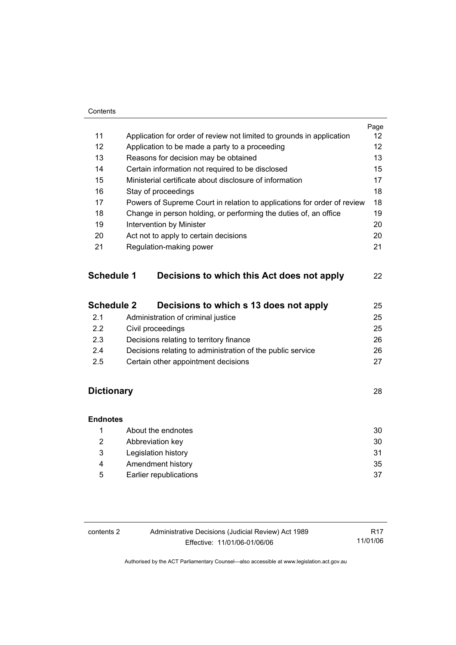#### **Contents**

|            |                                                                         | Page |
|------------|-------------------------------------------------------------------------|------|
| 11         | Application for order of review not limited to grounds in application   | 12   |
| 12         | Application to be made a party to a proceeding                          | 12   |
| 13         | Reasons for decision may be obtained                                    | 13   |
| 14         | Certain information not required to be disclosed                        | 15   |
| 15         | Ministerial certificate about disclosure of information                 | 17   |
| 16         | Stay of proceedings                                                     | 18   |
| 17         | Powers of Supreme Court in relation to applications for order of review | 18   |
| 18         | Change in person holding, or performing the duties of, an office        | 19   |
| 19         | Intervention by Minister                                                | 20   |
| 20         | Act not to apply to certain decisions                                   | 20   |
| 21         | Regulation-making power                                                 | 21   |
| Schedule 1 | Decisions to which this Act does not apply                              | 22   |
|            |                                                                         |      |

| <b>Schedule 2</b> | Decisions to which s 13 does not apply                     | 25 |
|-------------------|------------------------------------------------------------|----|
| 2.1               | Administration of criminal justice                         | 25 |
| 2.2               | Civil proceedings                                          | 25 |
| 2.3               | Decisions relating to territory finance                    | 26 |
| 2.4               | Decisions relating to administration of the public service | 26 |
| 2.5               | Certain other appointment decisions                        | 27 |

# **Dictionary** 28

| <b>Endnotes</b> |                        |    |
|-----------------|------------------------|----|
|                 | About the endnotes     | 30 |
| 2               | Abbreviation key       | 30 |
| 3               | Legislation history    | 31 |
| 4               | Amendment history      | 35 |
| 5               | Earlier republications | 37 |

| contents 2 | Administrative Decisions (Judicial Review) Act 1989 | R17      |
|------------|-----------------------------------------------------|----------|
|            | Effective: 11/01/06-01/06/06                        | 11/01/06 |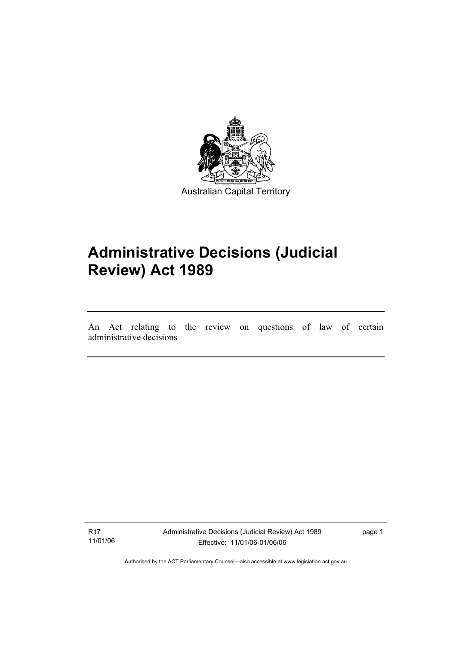

# **Administrative Decisions (Judicial Review) Act 1989**

An Act relating to the review on questions of law of certain administrative decisions

R17 11/01/06

I

Administrative Decisions (Judicial Review) Act 1989 Effective: 11/01/06-01/06/06

page 1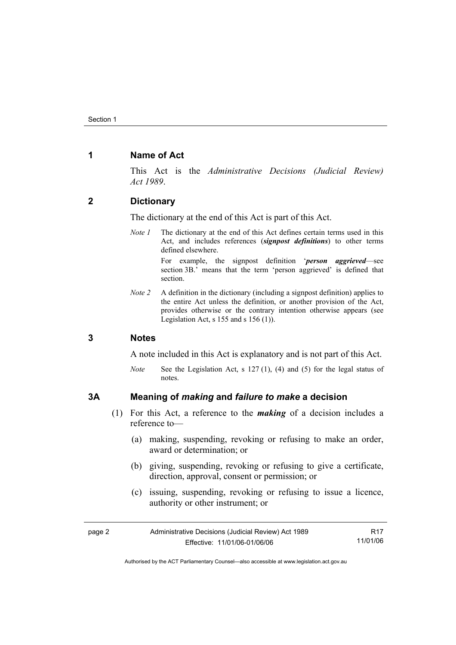# **1 Name of Act**

This Act is the *Administrative Decisions (Judicial Review) Act 1989*.

# **2 Dictionary**

The dictionary at the end of this Act is part of this Act.

*Note 1* The dictionary at the end of this Act defines certain terms used in this Act, and includes references (*signpost definitions*) to other terms defined elsewhere.

> For example, the signpost definition '*person aggrieved*—see section 3B.' means that the term 'person aggrieved' is defined that section.

*Note 2* A definition in the dictionary (including a signpost definition) applies to the entire Act unless the definition, or another provision of the Act, provides otherwise or the contrary intention otherwise appears (see Legislation Act, s  $155$  and s  $156$  (1)).

#### **3 Notes**

A note included in this Act is explanatory and is not part of this Act.

*Note* See the Legislation Act, s 127 (1), (4) and (5) for the legal status of notes.

# **3A Meaning of** *making* **and** *failure to make* **a decision**

- (1) For this Act, a reference to the *making* of a decision includes a reference to—
	- (a) making, suspending, revoking or refusing to make an order, award or determination; or
	- (b) giving, suspending, revoking or refusing to give a certificate, direction, approval, consent or permission; or
	- (c) issuing, suspending, revoking or refusing to issue a licence, authority or other instrument; or

| page 2 | Administrative Decisions (Judicial Review) Act 1989 | R17      |
|--------|-----------------------------------------------------|----------|
|        | Effective: 11/01/06-01/06/06                        | 11/01/06 |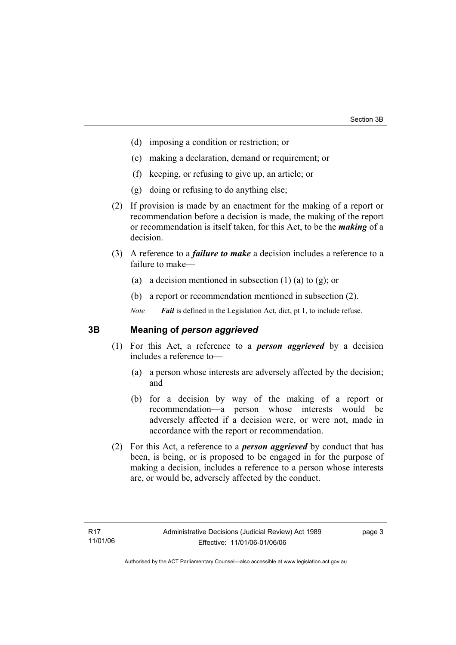- (d) imposing a condition or restriction; or
- (e) making a declaration, demand or requirement; or
- (f) keeping, or refusing to give up, an article; or
- (g) doing or refusing to do anything else;
- (2) If provision is made by an enactment for the making of a report or recommendation before a decision is made, the making of the report or recommendation is itself taken, for this Act, to be the *making* of a decision.
- (3) A reference to a *failure to make* a decision includes a reference to a failure to make—
	- (a) a decision mentioned in subsection  $(1)$  (a) to  $(g)$ ; or
	- (b) a report or recommendation mentioned in subsection (2).

*Note Fail* is defined in the Legislation Act, dict, pt 1, to include refuse.

# **3B Meaning of** *person aggrieved*

- (1) For this Act, a reference to a *person aggrieved* by a decision includes a reference to—
	- (a) a person whose interests are adversely affected by the decision; and
	- (b) for a decision by way of the making of a report or recommendation—a person whose interests would be adversely affected if a decision were, or were not, made in accordance with the report or recommendation.
- (2) For this Act, a reference to a *person aggrieved* by conduct that has been, is being, or is proposed to be engaged in for the purpose of making a decision, includes a reference to a person whose interests are, or would be, adversely affected by the conduct.

page 3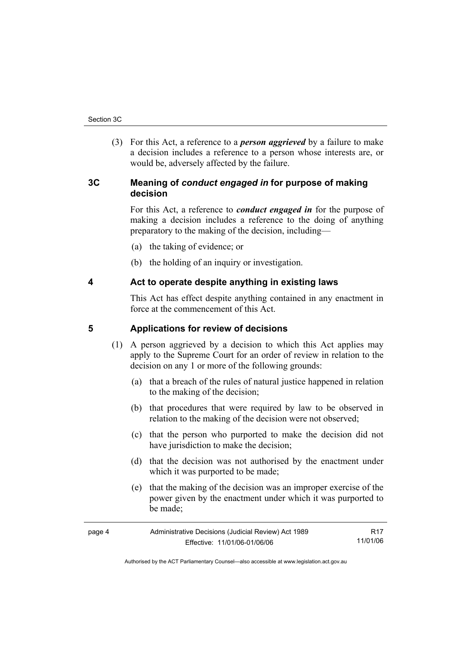(3) For this Act, a reference to a *person aggrieved* by a failure to make a decision includes a reference to a person whose interests are, or would be, adversely affected by the failure.

# **3C Meaning of** *conduct engaged in* **for purpose of making decision**

For this Act, a reference to *conduct engaged in* for the purpose of making a decision includes a reference to the doing of anything preparatory to the making of the decision, including—

- (a) the taking of evidence; or
- (b) the holding of an inquiry or investigation.

# **4 Act to operate despite anything in existing laws**

This Act has effect despite anything contained in any enactment in force at the commencement of this Act.

# **5 Applications for review of decisions**

- (1) A person aggrieved by a decision to which this Act applies may apply to the Supreme Court for an order of review in relation to the decision on any 1 or more of the following grounds:
	- (a) that a breach of the rules of natural justice happened in relation to the making of the decision;
	- (b) that procedures that were required by law to be observed in relation to the making of the decision were not observed;
	- (c) that the person who purported to make the decision did not have jurisdiction to make the decision;
	- (d) that the decision was not authorised by the enactment under which it was purported to be made;
	- (e) that the making of the decision was an improper exercise of the power given by the enactment under which it was purported to be made;

| page 4 | Administrative Decisions (Judicial Review) Act 1989 | R17      |
|--------|-----------------------------------------------------|----------|
|        | Effective: 11/01/06-01/06/06                        | 11/01/06 |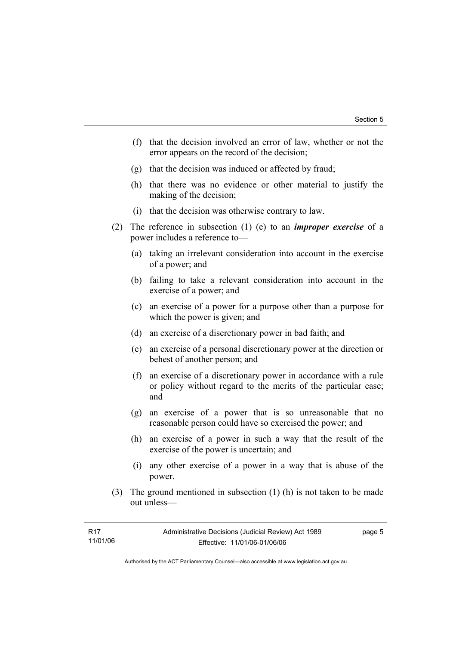- (f) that the decision involved an error of law, whether or not the error appears on the record of the decision;
- (g) that the decision was induced or affected by fraud;
- (h) that there was no evidence or other material to justify the making of the decision;
- (i) that the decision was otherwise contrary to law.
- (2) The reference in subsection (1) (e) to an *improper exercise* of a power includes a reference to—
	- (a) taking an irrelevant consideration into account in the exercise of a power; and
	- (b) failing to take a relevant consideration into account in the exercise of a power; and
	- (c) an exercise of a power for a purpose other than a purpose for which the power is given; and
	- (d) an exercise of a discretionary power in bad faith; and
	- (e) an exercise of a personal discretionary power at the direction or behest of another person; and
	- (f) an exercise of a discretionary power in accordance with a rule or policy without regard to the merits of the particular case; and
	- (g) an exercise of a power that is so unreasonable that no reasonable person could have so exercised the power; and
	- (h) an exercise of a power in such a way that the result of the exercise of the power is uncertain; and
	- (i) any other exercise of a power in a way that is abuse of the power.
- (3) The ground mentioned in subsection (1) (h) is not taken to be made out unless—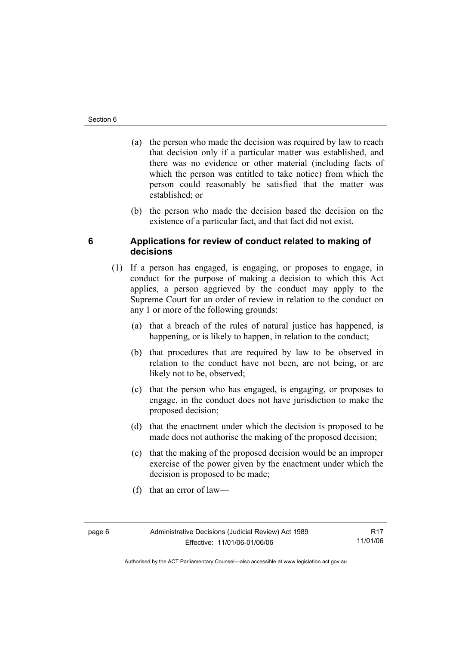- (a) the person who made the decision was required by law to reach that decision only if a particular matter was established, and there was no evidence or other material (including facts of which the person was entitled to take notice) from which the person could reasonably be satisfied that the matter was established; or
- (b) the person who made the decision based the decision on the existence of a particular fact, and that fact did not exist.

# **6 Applications for review of conduct related to making of decisions**

- (1) If a person has engaged, is engaging, or proposes to engage, in conduct for the purpose of making a decision to which this Act applies, a person aggrieved by the conduct may apply to the Supreme Court for an order of review in relation to the conduct on any 1 or more of the following grounds:
	- (a) that a breach of the rules of natural justice has happened, is happening, or is likely to happen, in relation to the conduct;
	- (b) that procedures that are required by law to be observed in relation to the conduct have not been, are not being, or are likely not to be, observed;
	- (c) that the person who has engaged, is engaging, or proposes to engage, in the conduct does not have jurisdiction to make the proposed decision;
	- (d) that the enactment under which the decision is proposed to be made does not authorise the making of the proposed decision;
	- (e) that the making of the proposed decision would be an improper exercise of the power given by the enactment under which the decision is proposed to be made;
	- (f) that an error of law—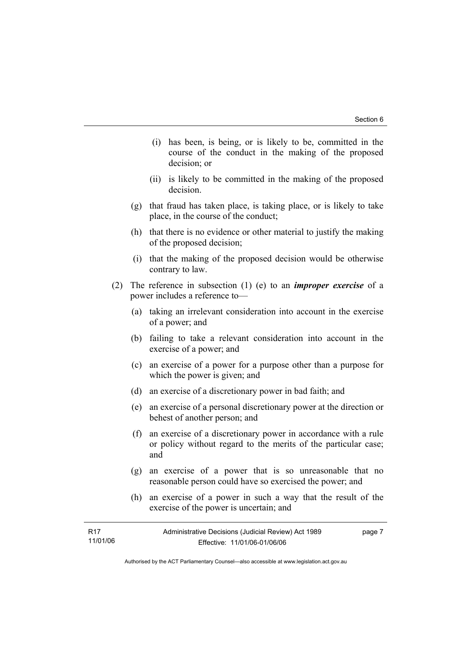- (i) has been, is being, or is likely to be, committed in the course of the conduct in the making of the proposed decision; or
- (ii) is likely to be committed in the making of the proposed decision.
- (g) that fraud has taken place, is taking place, or is likely to take place, in the course of the conduct;
- (h) that there is no evidence or other material to justify the making of the proposed decision;
- (i) that the making of the proposed decision would be otherwise contrary to law.
- (2) The reference in subsection (1) (e) to an *improper exercise* of a power includes a reference to—
	- (a) taking an irrelevant consideration into account in the exercise of a power; and
	- (b) failing to take a relevant consideration into account in the exercise of a power; and
	- (c) an exercise of a power for a purpose other than a purpose for which the power is given; and
	- (d) an exercise of a discretionary power in bad faith; and
	- (e) an exercise of a personal discretionary power at the direction or behest of another person; and
	- (f) an exercise of a discretionary power in accordance with a rule or policy without regard to the merits of the particular case; and
	- (g) an exercise of a power that is so unreasonable that no reasonable person could have so exercised the power; and
	- (h) an exercise of a power in such a way that the result of the exercise of the power is uncertain; and

| R17      | Administrative Decisions (Judicial Review) Act 1989 | page 7 |
|----------|-----------------------------------------------------|--------|
| 11/01/06 | Effective: 11/01/06-01/06/06                        |        |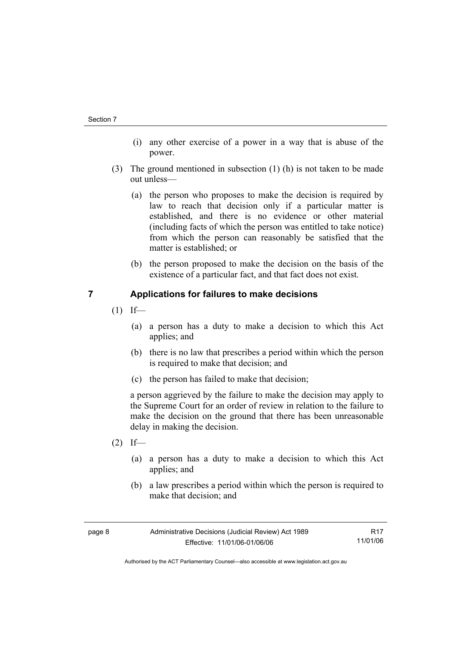- (i) any other exercise of a power in a way that is abuse of the power.
- (3) The ground mentioned in subsection (1) (h) is not taken to be made out unless—
	- (a) the person who proposes to make the decision is required by law to reach that decision only if a particular matter is established, and there is no evidence or other material (including facts of which the person was entitled to take notice) from which the person can reasonably be satisfied that the matter is established; or
	- (b) the person proposed to make the decision on the basis of the existence of a particular fact, and that fact does not exist.

# **7 Applications for failures to make decisions**

- $(1)$  If—
	- (a) a person has a duty to make a decision to which this Act applies; and
	- (b) there is no law that prescribes a period within which the person is required to make that decision; and
	- (c) the person has failed to make that decision;

a person aggrieved by the failure to make the decision may apply to the Supreme Court for an order of review in relation to the failure to make the decision on the ground that there has been unreasonable delay in making the decision.

- $(2)$  If—
	- (a) a person has a duty to make a decision to which this Act applies; and
	- (b) a law prescribes a period within which the person is required to make that decision; and

| page 8 | Administrative Decisions (Judicial Review) Act 1989 | R <sub>17</sub> |
|--------|-----------------------------------------------------|-----------------|
|        | Effective: 11/01/06-01/06/06                        | 11/01/06        |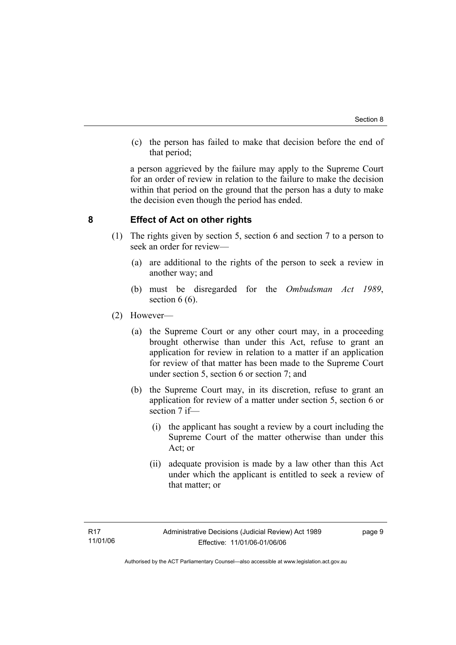(c) the person has failed to make that decision before the end of that period;

a person aggrieved by the failure may apply to the Supreme Court for an order of review in relation to the failure to make the decision within that period on the ground that the person has a duty to make the decision even though the period has ended.

# **8 Effect of Act on other rights**

- (1) The rights given by section 5, section 6 and section 7 to a person to seek an order for review—
	- (a) are additional to the rights of the person to seek a review in another way; and
	- (b) must be disregarded for the *Ombudsman Act 1989*, section  $6(6)$ .
- (2) However—
	- (a) the Supreme Court or any other court may, in a proceeding brought otherwise than under this Act, refuse to grant an application for review in relation to a matter if an application for review of that matter has been made to the Supreme Court under section 5, section 6 or section 7; and
	- (b) the Supreme Court may, in its discretion, refuse to grant an application for review of a matter under section 5, section 6 or section 7 if—
		- (i) the applicant has sought a review by a court including the Supreme Court of the matter otherwise than under this Act; or
		- (ii) adequate provision is made by a law other than this Act under which the applicant is entitled to seek a review of that matter; or

page 9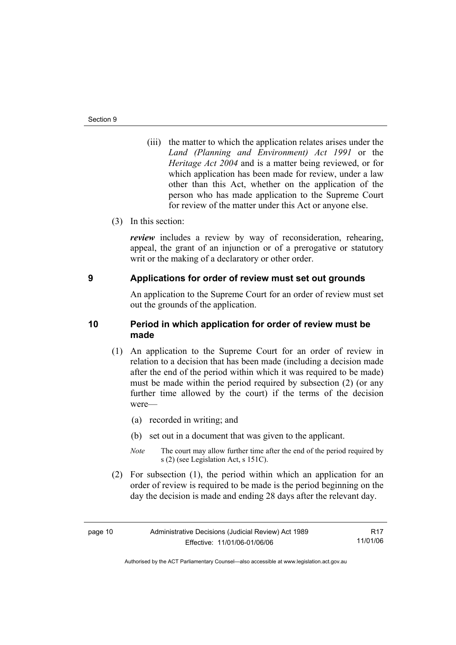- (iii) the matter to which the application relates arises under the *Land (Planning and Environment) Act 1991* or the *Heritage Act 2004* and is a matter being reviewed, or for which application has been made for review, under a law other than this Act, whether on the application of the person who has made application to the Supreme Court for review of the matter under this Act or anyone else.
- (3) In this section:

*review* includes a review by way of reconsideration, rehearing, appeal, the grant of an injunction or of a prerogative or statutory writ or the making of a declaratory or other order.

#### **9 Applications for order of review must set out grounds**

An application to the Supreme Court for an order of review must set out the grounds of the application.

# **10 Period in which application for order of review must be made**

- (1) An application to the Supreme Court for an order of review in relation to a decision that has been made (including a decision made after the end of the period within which it was required to be made) must be made within the period required by subsection (2) (or any further time allowed by the court) if the terms of the decision were—
	- (a) recorded in writing; and
	- (b) set out in a document that was given to the applicant.
	- *Note* The court may allow further time after the end of the period required by s (2) (see Legislation Act, s 151C).
- (2) For subsection (1), the period within which an application for an order of review is required to be made is the period beginning on the day the decision is made and ending 28 days after the relevant day.

R17 11/01/06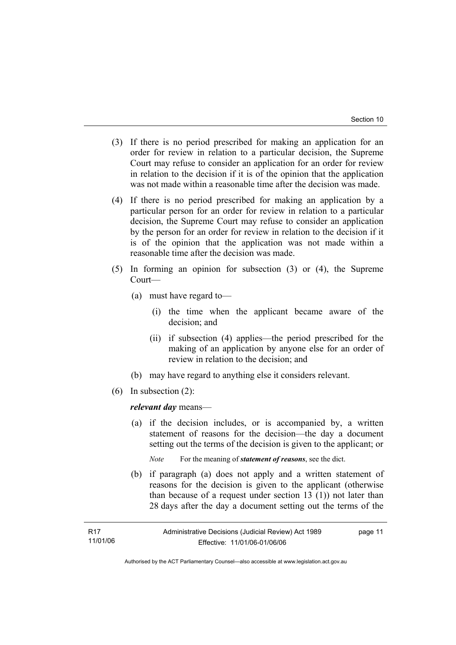- (3) If there is no period prescribed for making an application for an order for review in relation to a particular decision, the Supreme Court may refuse to consider an application for an order for review in relation to the decision if it is of the opinion that the application was not made within a reasonable time after the decision was made.
- (4) If there is no period prescribed for making an application by a particular person for an order for review in relation to a particular decision, the Supreme Court may refuse to consider an application by the person for an order for review in relation to the decision if it is of the opinion that the application was not made within a reasonable time after the decision was made.
- (5) In forming an opinion for subsection (3) or (4), the Supreme Court—
	- (a) must have regard to—
		- (i) the time when the applicant became aware of the decision; and
		- (ii) if subsection (4) applies—the period prescribed for the making of an application by anyone else for an order of review in relation to the decision; and
	- (b) may have regard to anything else it considers relevant.
- (6) In subsection (2):

*relevant day* means—

 (a) if the decision includes, or is accompanied by, a written statement of reasons for the decision—the day a document setting out the terms of the decision is given to the applicant; or

*Note* For the meaning of *statement of reasons*, see the dict.

 (b) if paragraph (a) does not apply and a written statement of reasons for the decision is given to the applicant (otherwise than because of a request under section 13 (1)) not later than 28 days after the day a document setting out the terms of the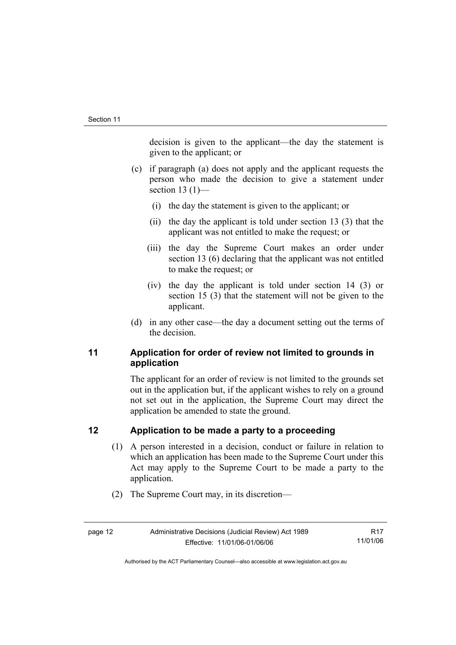decision is given to the applicant—the day the statement is given to the applicant; or

- (c) if paragraph (a) does not apply and the applicant requests the person who made the decision to give a statement under section 13 $(1)$ —
	- (i) the day the statement is given to the applicant; or
	- (ii) the day the applicant is told under section 13 (3) that the applicant was not entitled to make the request; or
	- (iii) the day the Supreme Court makes an order under section 13 (6) declaring that the applicant was not entitled to make the request; or
	- (iv) the day the applicant is told under section 14 (3) or section 15 (3) that the statement will not be given to the applicant.
- (d) in any other case—the day a document setting out the terms of the decision.

# **11 Application for order of review not limited to grounds in application**

The applicant for an order of review is not limited to the grounds set out in the application but, if the applicant wishes to rely on a ground not set out in the application, the Supreme Court may direct the application be amended to state the ground.

# **12 Application to be made a party to a proceeding**

- (1) A person interested in a decision, conduct or failure in relation to which an application has been made to the Supreme Court under this Act may apply to the Supreme Court to be made a party to the application.
- (2) The Supreme Court may, in its discretion—

R17 11/01/06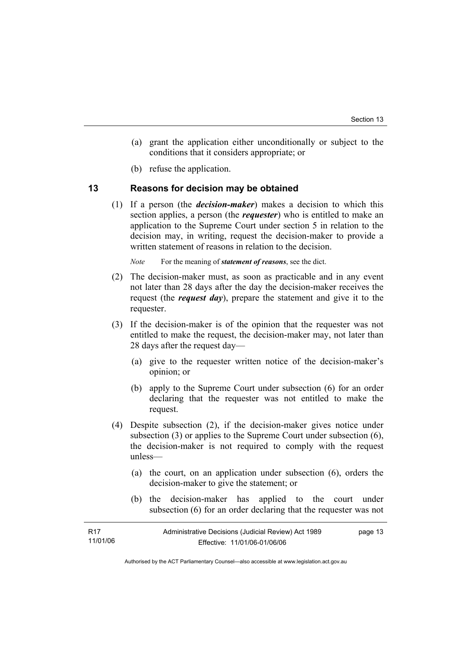- (a) grant the application either unconditionally or subject to the conditions that it considers appropriate; or
- (b) refuse the application.

#### **13 Reasons for decision may be obtained**

 (1) If a person (the *decision-maker*) makes a decision to which this section applies, a person (the *requester*) who is entitled to make an application to the Supreme Court under section 5 in relation to the decision may, in writing, request the decision-maker to provide a written statement of reasons in relation to the decision.

*Note* For the meaning of *statement of reasons*, see the dict.

- (2) The decision-maker must, as soon as practicable and in any event not later than 28 days after the day the decision-maker receives the request (the *request day*), prepare the statement and give it to the requester.
- (3) If the decision-maker is of the opinion that the requester was not entitled to make the request, the decision-maker may, not later than 28 days after the request day—
	- (a) give to the requester written notice of the decision-maker's opinion; or
	- (b) apply to the Supreme Court under subsection (6) for an order declaring that the requester was not entitled to make the request.
- (4) Despite subsection (2), if the decision-maker gives notice under subsection (3) or applies to the Supreme Court under subsection (6), the decision-maker is not required to comply with the request unless—
	- (a) the court, on an application under subsection (6), orders the decision-maker to give the statement; or
	- (b) the decision-maker has applied to the court under subsection (6) for an order declaring that the requester was not

| R17      | Administrative Decisions (Judicial Review) Act 1989 | page 13 |
|----------|-----------------------------------------------------|---------|
| 11/01/06 | Effective: 11/01/06-01/06/06                        |         |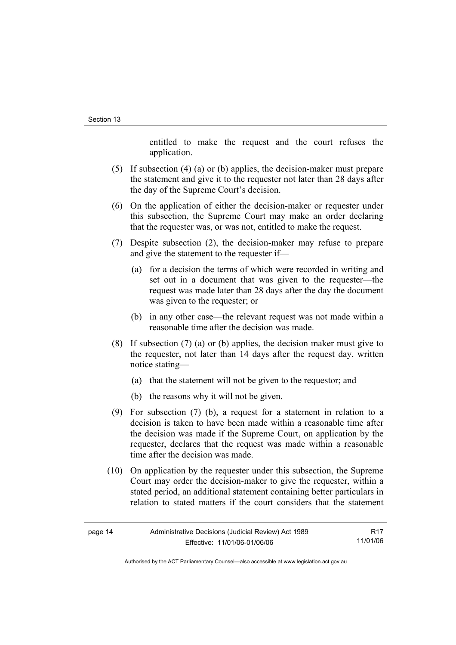entitled to make the request and the court refuses the application.

- (5) If subsection (4) (a) or (b) applies, the decision-maker must prepare the statement and give it to the requester not later than 28 days after the day of the Supreme Court's decision.
- (6) On the application of either the decision-maker or requester under this subsection, the Supreme Court may make an order declaring that the requester was, or was not, entitled to make the request.
- (7) Despite subsection (2), the decision-maker may refuse to prepare and give the statement to the requester if—
	- (a) for a decision the terms of which were recorded in writing and set out in a document that was given to the requester—the request was made later than 28 days after the day the document was given to the requester; or
	- (b) in any other case—the relevant request was not made within a reasonable time after the decision was made.
- (8) If subsection (7) (a) or (b) applies, the decision maker must give to the requester, not later than 14 days after the request day, written notice stating—
	- (a) that the statement will not be given to the requestor; and
	- (b) the reasons why it will not be given.
- (9) For subsection (7) (b), a request for a statement in relation to a decision is taken to have been made within a reasonable time after the decision was made if the Supreme Court, on application by the requester, declares that the request was made within a reasonable time after the decision was made.
- (10) On application by the requester under this subsection, the Supreme Court may order the decision-maker to give the requester, within a stated period, an additional statement containing better particulars in relation to stated matters if the court considers that the statement

| $+0+$<br>. . |  |
|--------------|--|
|--------------|--|

R17 11/01/06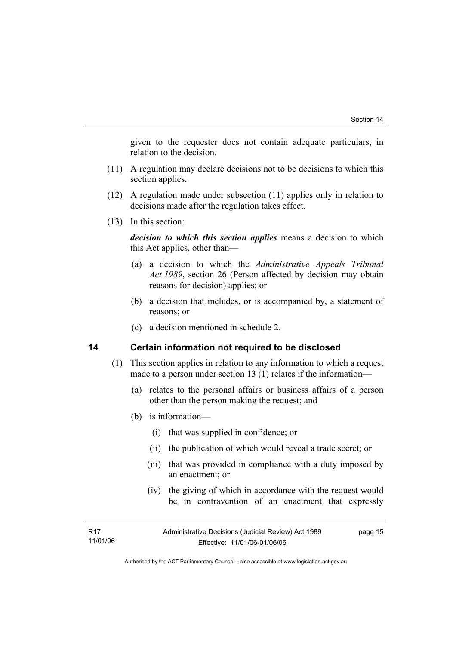given to the requester does not contain adequate particulars, in relation to the decision.

- (11) A regulation may declare decisions not to be decisions to which this section applies.
- (12) A regulation made under subsection (11) applies only in relation to decisions made after the regulation takes effect.
- (13) In this section:

*decision to which this section applies* means a decision to which this Act applies, other than—

- (a) a decision to which the *Administrative Appeals Tribunal Act 1989*, section 26 (Person affected by decision may obtain reasons for decision) applies; or
- (b) a decision that includes, or is accompanied by, a statement of reasons; or
- (c) a decision mentioned in schedule 2.

#### **14 Certain information not required to be disclosed**

- (1) This section applies in relation to any information to which a request made to a person under section 13 (1) relates if the information—
	- (a) relates to the personal affairs or business affairs of a person other than the person making the request; and
	- (b) is information—
		- (i) that was supplied in confidence; or
		- (ii) the publication of which would reveal a trade secret; or
		- (iii) that was provided in compliance with a duty imposed by an enactment; or
		- (iv) the giving of which in accordance with the request would be in contravention of an enactment that expressly

R17 11/01/06 page 15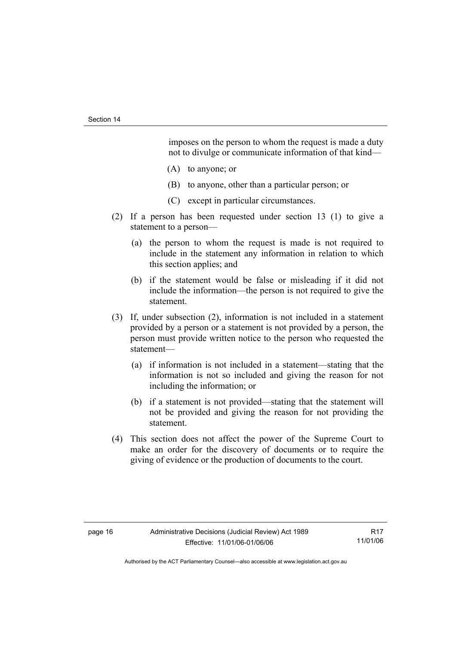imposes on the person to whom the request is made a duty not to divulge or communicate information of that kind—

- (A) to anyone; or
- (B) to anyone, other than a particular person; or
- (C) except in particular circumstances.
- (2) If a person has been requested under section 13 (1) to give a statement to a person—
	- (a) the person to whom the request is made is not required to include in the statement any information in relation to which this section applies; and
	- (b) if the statement would be false or misleading if it did not include the information—the person is not required to give the statement.
- (3) If, under subsection (2), information is not included in a statement provided by a person or a statement is not provided by a person, the person must provide written notice to the person who requested the statement—
	- (a) if information is not included in a statement—stating that the information is not so included and giving the reason for not including the information; or
	- (b) if a statement is not provided—stating that the statement will not be provided and giving the reason for not providing the statement.
- (4) This section does not affect the power of the Supreme Court to make an order for the discovery of documents or to require the giving of evidence or the production of documents to the court.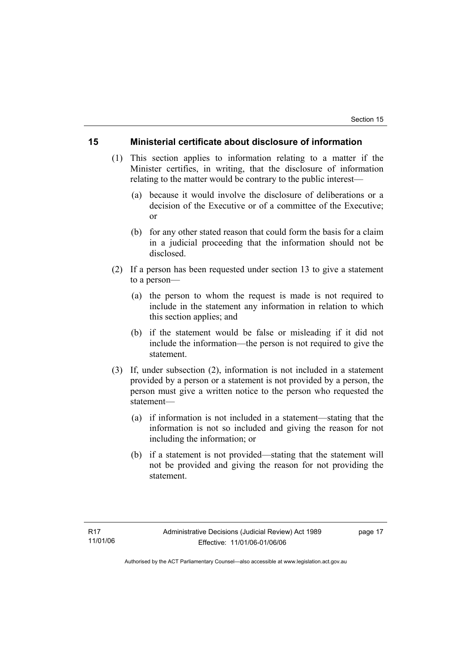#### **15 Ministerial certificate about disclosure of information**

- (1) This section applies to information relating to a matter if the Minister certifies, in writing, that the disclosure of information relating to the matter would be contrary to the public interest—
	- (a) because it would involve the disclosure of deliberations or a decision of the Executive or of a committee of the Executive; or
	- (b) for any other stated reason that could form the basis for a claim in a judicial proceeding that the information should not be disclosed.
- (2) If a person has been requested under section 13 to give a statement to a person—
	- (a) the person to whom the request is made is not required to include in the statement any information in relation to which this section applies; and
	- (b) if the statement would be false or misleading if it did not include the information—the person is not required to give the statement.
- (3) If, under subsection (2), information is not included in a statement provided by a person or a statement is not provided by a person, the person must give a written notice to the person who requested the statement—
	- (a) if information is not included in a statement—stating that the information is not so included and giving the reason for not including the information; or
	- (b) if a statement is not provided—stating that the statement will not be provided and giving the reason for not providing the statement.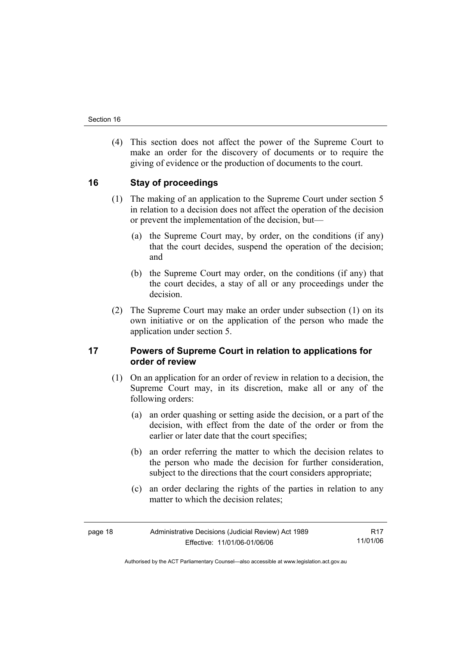(4) This section does not affect the power of the Supreme Court to make an order for the discovery of documents or to require the giving of evidence or the production of documents to the court.

# **16 Stay of proceedings**

- (1) The making of an application to the Supreme Court under section 5 in relation to a decision does not affect the operation of the decision or prevent the implementation of the decision, but—
	- (a) the Supreme Court may, by order, on the conditions (if any) that the court decides, suspend the operation of the decision; and
	- (b) the Supreme Court may order, on the conditions (if any) that the court decides, a stay of all or any proceedings under the decision.
- (2) The Supreme Court may make an order under subsection (1) on its own initiative or on the application of the person who made the application under section 5.

# **17 Powers of Supreme Court in relation to applications for order of review**

- (1) On an application for an order of review in relation to a decision, the Supreme Court may, in its discretion, make all or any of the following orders:
	- (a) an order quashing or setting aside the decision, or a part of the decision, with effect from the date of the order or from the earlier or later date that the court specifies;
	- (b) an order referring the matter to which the decision relates to the person who made the decision for further consideration, subject to the directions that the court considers appropriate;
	- (c) an order declaring the rights of the parties in relation to any matter to which the decision relates;

R17 11/01/06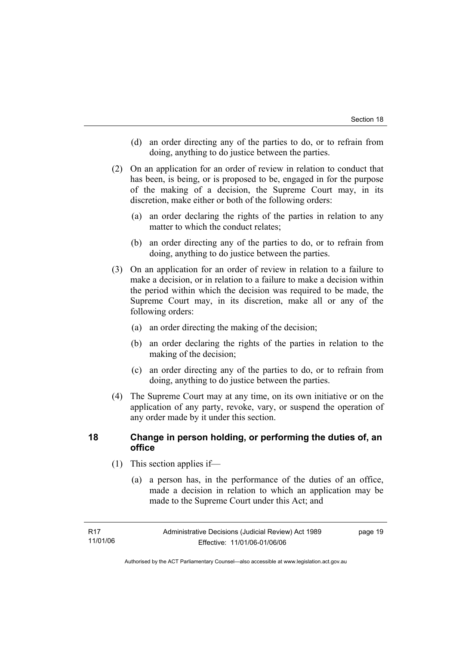- (d) an order directing any of the parties to do, or to refrain from doing, anything to do justice between the parties.
- (2) On an application for an order of review in relation to conduct that has been, is being, or is proposed to be, engaged in for the purpose of the making of a decision, the Supreme Court may, in its discretion, make either or both of the following orders:
	- (a) an order declaring the rights of the parties in relation to any matter to which the conduct relates;
	- (b) an order directing any of the parties to do, or to refrain from doing, anything to do justice between the parties.
- (3) On an application for an order of review in relation to a failure to make a decision, or in relation to a failure to make a decision within the period within which the decision was required to be made, the Supreme Court may, in its discretion, make all or any of the following orders:
	- (a) an order directing the making of the decision;
	- (b) an order declaring the rights of the parties in relation to the making of the decision;
	- (c) an order directing any of the parties to do, or to refrain from doing, anything to do justice between the parties.
- (4) The Supreme Court may at any time, on its own initiative or on the application of any party, revoke, vary, or suspend the operation of any order made by it under this section.

# **18 Change in person holding, or performing the duties of, an office**

- (1) This section applies if—
	- (a) a person has, in the performance of the duties of an office, made a decision in relation to which an application may be made to the Supreme Court under this Act; and

page 19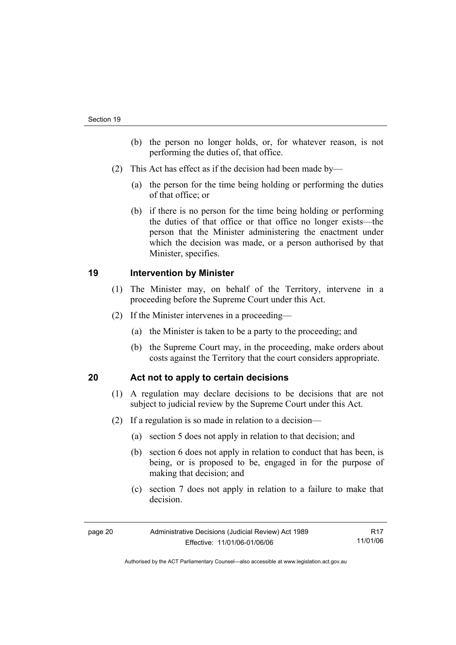- (b) the person no longer holds, or, for whatever reason, is not performing the duties of, that office.
- (2) This Act has effect as if the decision had been made by—
	- (a) the person for the time being holding or performing the duties of that office; or
	- (b) if there is no person for the time being holding or performing the duties of that office or that office no longer exists—the person that the Minister administering the enactment under which the decision was made, or a person authorised by that Minister, specifies.

# **19 Intervention by Minister**

- (1) The Minister may, on behalf of the Territory, intervene in a proceeding before the Supreme Court under this Act.
- (2) If the Minister intervenes in a proceeding—
	- (a) the Minister is taken to be a party to the proceeding; and
	- (b) the Supreme Court may, in the proceeding, make orders about costs against the Territory that the court considers appropriate.

# **20 Act not to apply to certain decisions**

- (1) A regulation may declare decisions to be decisions that are not subject to judicial review by the Supreme Court under this Act.
- (2) If a regulation is so made in relation to a decision—
	- (a) section 5 does not apply in relation to that decision; and
	- (b) section 6 does not apply in relation to conduct that has been, is being, or is proposed to be, engaged in for the purpose of making that decision; and
	- (c) section 7 does not apply in relation to a failure to make that decision.

| page 20 | Administrative Decisions (Judicial Review) Act 1989 | R17      |
|---------|-----------------------------------------------------|----------|
|         | Effective: 11/01/06-01/06/06                        | 11/01/06 |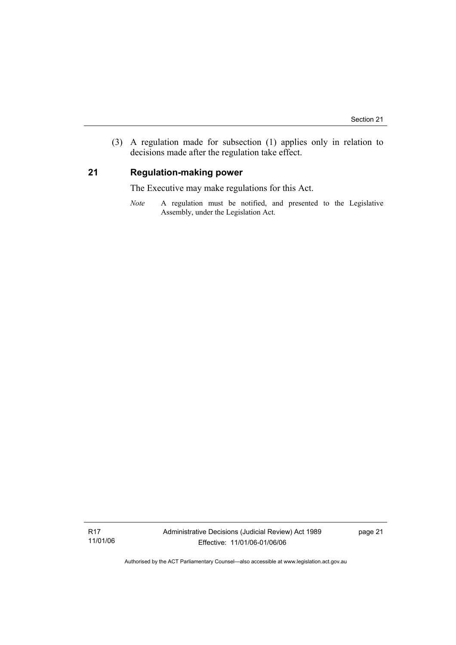(3) A regulation made for subsection (1) applies only in relation to decisions made after the regulation take effect.

# **21 Regulation-making power**

The Executive may make regulations for this Act.

*Note* A regulation must be notified, and presented to the Legislative Assembly, under the Legislation Act.

R17 11/01/06 page 21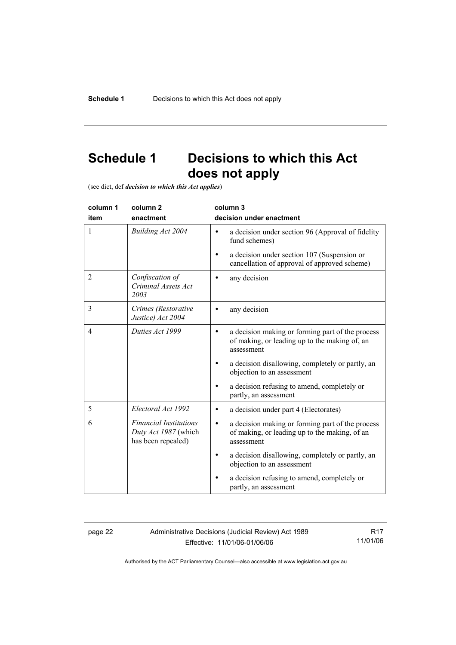# **Schedule 1 Decisions to which this Act does not apply**

(see dict, def *decision to which this Act applies*)

| column 1<br>item | column <sub>2</sub><br>enactment                                            | column 3<br>decision under enactment                                                                                         |
|------------------|-----------------------------------------------------------------------------|------------------------------------------------------------------------------------------------------------------------------|
| 1                | Building Act 2004                                                           | a decision under section 96 (Approval of fidelity<br>$\bullet$<br>fund schemes)                                              |
|                  |                                                                             | a decision under section 107 (Suspension or<br>cancellation of approval of approved scheme)                                  |
| $\overline{2}$   | Confiscation of<br>Criminal Assets Act<br>2003                              | any decision                                                                                                                 |
| 3                | Crimes (Restorative<br>Justice) Act 2004                                    | any decision                                                                                                                 |
| $\overline{4}$   | Duties Act 1999                                                             | a decision making or forming part of the process<br>of making, or leading up to the making of, an<br>assessment              |
|                  |                                                                             | a decision disallowing, completely or partly, an<br>objection to an assessment                                               |
|                  |                                                                             | a decision refusing to amend, completely or<br>partly, an assessment                                                         |
| 5                | Electoral Act 1992                                                          | a decision under part 4 (Electorates)<br>$\bullet$                                                                           |
| 6                | <b>Financial Institutions</b><br>Duty Act 1987 (which<br>has been repealed) | a decision making or forming part of the process<br>$\bullet$<br>of making, or leading up to the making, of an<br>assessment |
|                  |                                                                             | a decision disallowing, completely or partly, an<br>٠<br>objection to an assessment                                          |
|                  |                                                                             | a decision refusing to amend, completely or<br>partly, an assessment                                                         |

page 22 Administrative Decisions (Judicial Review) Act 1989 Effective: 11/01/06-01/06/06

R17 11/01/06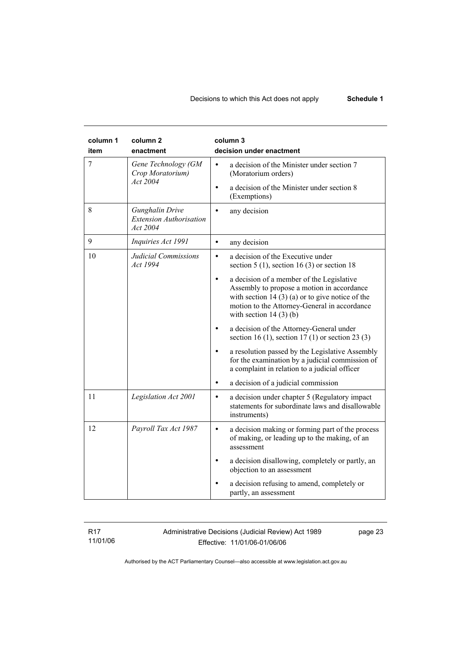| column 1<br>item | column <sub>2</sub><br>enactment                              | column 3<br>decision under enactment                                                                                                                                                                                                  |
|------------------|---------------------------------------------------------------|---------------------------------------------------------------------------------------------------------------------------------------------------------------------------------------------------------------------------------------|
| 7                | Gene Technology (GM<br>Crop Moratorium)<br>Act 2004           | a decision of the Minister under section 7<br>(Moratorium orders)<br>a decision of the Minister under section 8<br>$\bullet$<br>(Exemptions)                                                                                          |
| 8                | Gunghalin Drive<br><b>Extension Authorisation</b><br>Act 2004 | any decision                                                                                                                                                                                                                          |
| 9                | Inquiries Act 1991                                            | any decision<br>$\bullet$                                                                                                                                                                                                             |
| 10               | Judicial Commissions<br>Act 1994                              | a decision of the Executive under<br>$\bullet$<br>section 5 (1), section 16 (3) or section 18                                                                                                                                         |
|                  |                                                               | a decision of a member of the Legislative<br>$\bullet$<br>Assembly to propose a motion in accordance<br>with section 14 $(3)$ (a) or to give notice of the<br>motion to the Attorney-General in accordance<br>with section $14(3)(b)$ |
|                  |                                                               | a decision of the Attorney-General under<br>section 16 (1), section 17 (1) or section 23 (3)                                                                                                                                          |
|                  |                                                               | a resolution passed by the Legislative Assembly<br>for the examination by a judicial commission of<br>a complaint in relation to a judicial officer                                                                                   |
|                  |                                                               | a decision of a judicial commission<br>$\bullet$                                                                                                                                                                                      |
| 11               | Legislation Act 2001                                          | a decision under chapter 5 (Regulatory impact)<br>$\bullet$<br>statements for subordinate laws and disallowable<br>instruments)                                                                                                       |
| 12               | Payroll Tax Act 1987                                          | a decision making or forming part of the process<br>$\bullet$<br>of making, or leading up to the making, of an<br>assessment                                                                                                          |
|                  |                                                               | a decision disallowing, completely or partly, an<br>objection to an assessment                                                                                                                                                        |
|                  |                                                               | a decision refusing to amend, completely or<br>partly, an assessment                                                                                                                                                                  |

R17 11/01/06 Administrative Decisions (Judicial Review) Act 1989 Effective: 11/01/06-01/06/06

page 23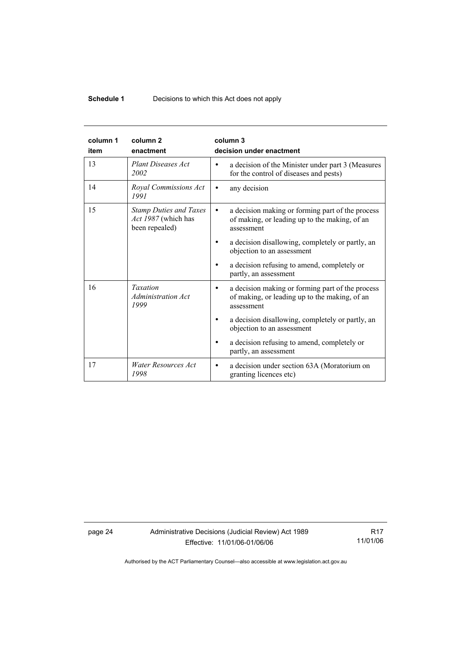# **Schedule 1** Decisions to which this Act does not apply

| column 1<br>item | column <sub>2</sub><br>enactment                                       | column 3<br>decision under enactment                                                                                         |
|------------------|------------------------------------------------------------------------|------------------------------------------------------------------------------------------------------------------------------|
| 13               | <b>Plant Diseases Act</b><br>2002                                      | a decision of the Minister under part 3 (Measures<br>for the control of diseases and pests)                                  |
| 14               | Royal Commissions Act<br>1991                                          | any decision<br>$\bullet$                                                                                                    |
| 15               | <b>Stamp Duties and Taxes</b><br>Act 1987 (which has<br>been repealed) | a decision making or forming part of the process<br>$\bullet$<br>of making, or leading up to the making, of an<br>assessment |
|                  |                                                                        | a decision disallowing, completely or partly, an<br>objection to an assessment                                               |
|                  |                                                                        | a decision refusing to amend, completely or<br>partly, an assessment                                                         |
| 16               | <b>Taxation</b><br><b>Administration Act</b><br>1999                   | a decision making or forming part of the process<br>of making, or leading up to the making, of an<br>assessment              |
|                  |                                                                        | a decision disallowing, completely or partly, an<br>objection to an assessment                                               |
|                  |                                                                        | a decision refusing to amend, completely or<br>partly, an assessment                                                         |
| 17               | Water Resources Act<br>1998                                            | a decision under section 63A (Moratorium on<br>$\bullet$<br>granting licences etc)                                           |

page 24 Administrative Decisions (Judicial Review) Act 1989 Effective: 11/01/06-01/06/06

R17 11/01/06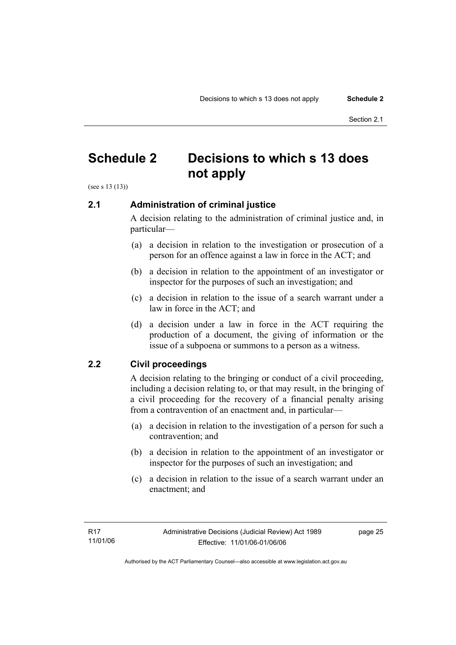# **Schedule 2 Decisions to which s 13 does not apply**

(see s 13 (13))

# **2.1 Administration of criminal justice**

A decision relating to the administration of criminal justice and, in particular—

- (a) a decision in relation to the investigation or prosecution of a person for an offence against a law in force in the ACT; and
- (b) a decision in relation to the appointment of an investigator or inspector for the purposes of such an investigation; and
- (c) a decision in relation to the issue of a search warrant under a law in force in the ACT; and
- (d) a decision under a law in force in the ACT requiring the production of a document, the giving of information or the issue of a subpoena or summons to a person as a witness.

# **2.2 Civil proceedings**

A decision relating to the bringing or conduct of a civil proceeding, including a decision relating to, or that may result, in the bringing of a civil proceeding for the recovery of a financial penalty arising from a contravention of an enactment and, in particular—

- (a) a decision in relation to the investigation of a person for such a contravention; and
- (b) a decision in relation to the appointment of an investigator or inspector for the purposes of such an investigation; and
- (c) a decision in relation to the issue of a search warrant under an enactment; and

page 25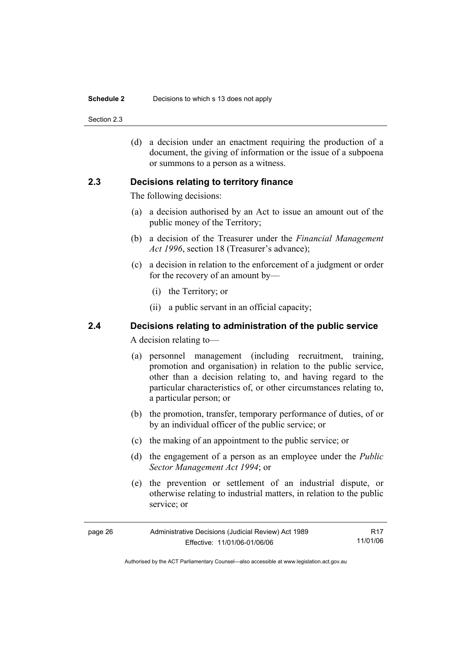#### **Schedule 2** Decisions to which s 13 does not apply

Section 2.3

 (d) a decision under an enactment requiring the production of a document, the giving of information or the issue of a subpoena or summons to a person as a witness.

#### **2.3 Decisions relating to territory finance**

The following decisions:

- (a) a decision authorised by an Act to issue an amount out of the public money of the Territory;
- (b) a decision of the Treasurer under the *Financial Management Act 1996*, section 18 (Treasurer's advance);
- (c) a decision in relation to the enforcement of a judgment or order for the recovery of an amount by—
	- (i) the Territory; or
	- (ii) a public servant in an official capacity;

# **2.4 Decisions relating to administration of the public service**

A decision relating to—

- (a) personnel management (including recruitment, training, promotion and organisation) in relation to the public service, other than a decision relating to, and having regard to the particular characteristics of, or other circumstances relating to, a particular person; or
- (b) the promotion, transfer, temporary performance of duties, of or by an individual officer of the public service; or
- (c) the making of an appointment to the public service; or
- (d) the engagement of a person as an employee under the *Public Sector Management Act 1994*; or
- (e) the prevention or settlement of an industrial dispute, or otherwise relating to industrial matters, in relation to the public service; or

| page 26 | Administrative Decisions (Judicial Review) Act 1989 | R17      |
|---------|-----------------------------------------------------|----------|
|         | Effective: 11/01/06-01/06/06                        | 11/01/06 |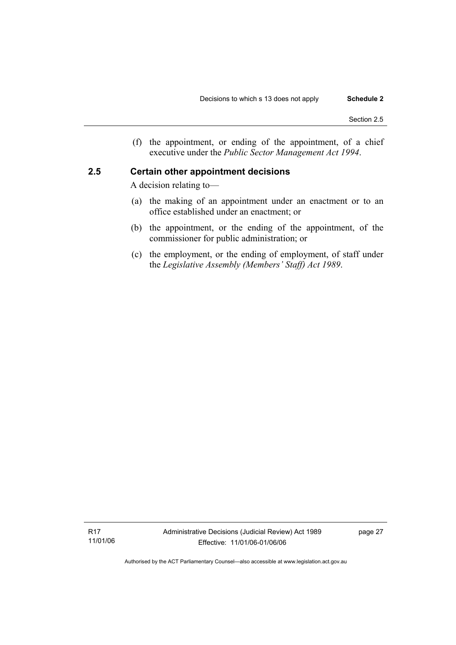(f) the appointment, or ending of the appointment, of a chief executive under the *Public Sector Management Act 1994*.

#### **2.5 Certain other appointment decisions**

A decision relating to—

- (a) the making of an appointment under an enactment or to an office established under an enactment; or
- (b) the appointment, or the ending of the appointment, of the commissioner for public administration; or
- (c) the employment, or the ending of employment, of staff under the *Legislative Assembly (Members' Staff) Act 1989*.

R17 11/01/06 page 27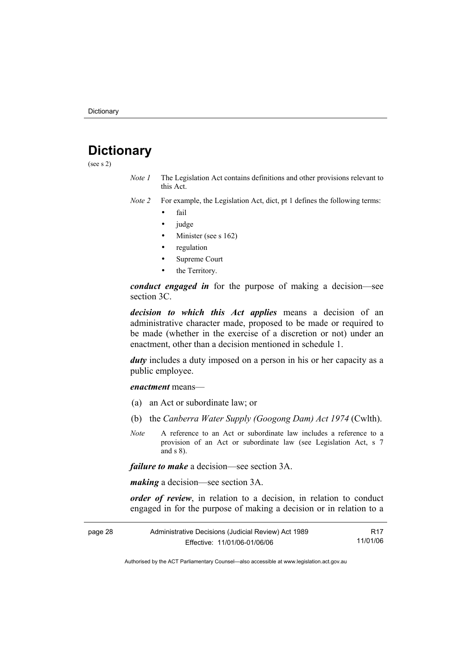# **Dictionary**

(see s 2)

- *Note 1* The Legislation Act contains definitions and other provisions relevant to this Act.
- *Note 2* For example, the Legislation Act, dict, pt 1 defines the following terms:
	- fail
	- judge
	- Minister (see s 162)
	- regulation
	- Supreme Court
	- the Territory.

*conduct engaged in* for the purpose of making a decision—see section 3C.

*decision to which this Act applies* means a decision of an administrative character made, proposed to be made or required to be made (whether in the exercise of a discretion or not) under an enactment, other than a decision mentioned in schedule 1.

*duty* includes a duty imposed on a person in his or her capacity as a public employee.

*enactment* means—

- (a) an Act or subordinate law; or
- (b) the *Canberra Water Supply (Googong Dam) Act 1974* (Cwlth).
- *Note* A reference to an Act or subordinate law includes a reference to a provision of an Act or subordinate law (see Legislation Act, s 7 and s 8).

*failure to make* a decision—see section 3A.

*making* a decision—see section 3A.

*order of review*, in relation to a decision, in relation to conduct engaged in for the purpose of making a decision or in relation to a

| page 28 | Administrative Decisions (Judicial Review) Act 1989 |          |  |
|---------|-----------------------------------------------------|----------|--|
|         | Effective: 11/01/06-01/06/06                        | 11/01/06 |  |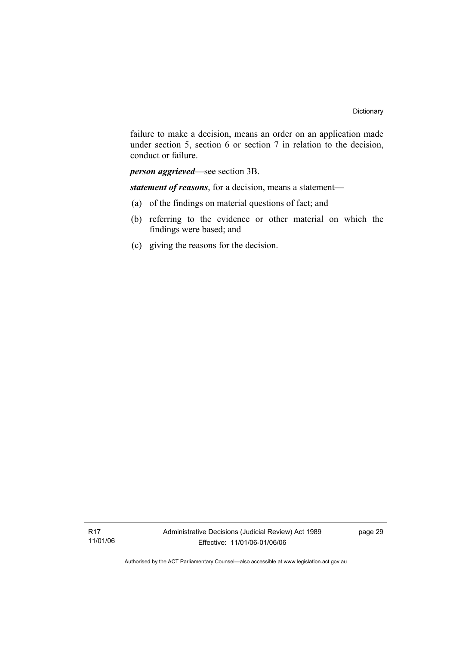failure to make a decision, means an order on an application made under section 5, section 6 or section 7 in relation to the decision, conduct or failure.

*person aggrieved*—see section 3B.

*statement of reasons*, for a decision, means a statement—

- (a) of the findings on material questions of fact; and
- (b) referring to the evidence or other material on which the findings were based; and
- (c) giving the reasons for the decision.

R17 11/01/06 page 29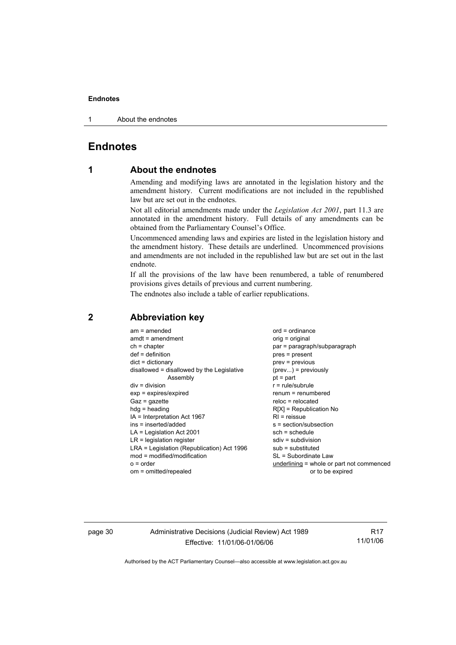1 About the endnotes

# **Endnotes**

# **1 About the endnotes**

Amending and modifying laws are annotated in the legislation history and the amendment history. Current modifications are not included in the republished law but are set out in the endnotes.

Not all editorial amendments made under the *Legislation Act 2001*, part 11.3 are annotated in the amendment history. Full details of any amendments can be obtained from the Parliamentary Counsel's Office.

Uncommenced amending laws and expiries are listed in the legislation history and the amendment history. These details are underlined. Uncommenced provisions and amendments are not included in the republished law but are set out in the last endnote.

If all the provisions of the law have been renumbered, a table of renumbered provisions gives details of previous and current numbering.

The endnotes also include a table of earlier republications.

| $am = amended$                             | $ord = ordinance$                         |
|--------------------------------------------|-------------------------------------------|
| $amdt = amendment$                         | orig = original                           |
| $ch = chapter$                             | par = paragraph/subparagraph              |
| $def = definition$                         | $pres = present$                          |
| $dict = dictionary$                        | $prev = previous$                         |
| disallowed = disallowed by the Legislative | $(\text{prev}) = \text{previously}$       |
| Assembly                                   | $pt = part$                               |
| $div = division$                           | $r = rule/subrule$                        |
| $exp = expires/expired$                    | $renum = renumbered$                      |
| $Gaz = gazette$                            | $reloc = relocated$                       |
| $hdg = heading$                            | $R[X]$ = Republication No                 |
| IA = Interpretation Act 1967               | $RI =$ reissue                            |
| ins = inserted/added                       | s = section/subsection                    |
| $LA =$ Legislation Act 2001                | $sch = schedule$                          |
| $LR =$ legislation register                | $sdiv = subdivision$                      |
| LRA = Legislation (Republication) Act 1996 | $sub =$ substituted                       |
| mod = modified/modification                | SL = Subordinate Law                      |
| $o = order$                                | underlining = whole or part not commenced |
| om = omitted/repealed                      | or to be expired                          |
|                                            |                                           |

# **2 Abbreviation key**

page 30 Administrative Decisions (Judicial Review) Act 1989 Effective: 11/01/06-01/06/06

R17 11/01/06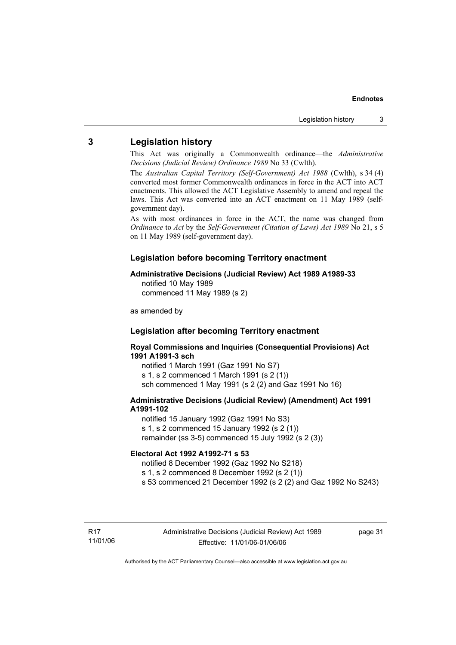# **3 Legislation history**

This Act was originally a Commonwealth ordinance—the *Administrative Decisions (Judicial Review) Ordinance 1989* No 33 (Cwlth).

The *Australian Capital Territory (Self-Government) Act 1988* (Cwlth), s 34 (4) converted most former Commonwealth ordinances in force in the ACT into ACT enactments. This allowed the ACT Legislative Assembly to amend and repeal the laws. This Act was converted into an ACT enactment on 11 May 1989 (selfgovernment day).

As with most ordinances in force in the ACT, the name was changed from *Ordinance* to *Act* by the *Self-Government (Citation of Laws) Act 1989* No 21, s 5 on 11 May 1989 (self-government day).

#### **Legislation before becoming Territory enactment**

#### **Administrative Decisions (Judicial Review) Act 1989 A1989-33**

notified 10 May 1989 commenced 11 May 1989 (s 2)

as amended by

### **Legislation after becoming Territory enactment**

#### **Royal Commissions and Inquiries (Consequential Provisions) Act 1991 A1991-3 sch**

notified 1 March 1991 (Gaz 1991 No S7) s 1, s 2 commenced 1 March 1991 (s 2 (1)) sch commenced 1 May 1991 (s 2 (2) and Gaz 1991 No 16)

#### **Administrative Decisions (Judicial Review) (Amendment) Act 1991 A1991-102**

notified 15 January 1992 (Gaz 1991 No S3) s 1, s 2 commenced 15 January 1992 (s 2 (1)) remainder (ss 3-5) commenced 15 July 1992 (s 2 (3))

#### **Electoral Act 1992 A1992-71 s 53**

notified 8 December 1992 (Gaz 1992 No S218)

s 1, s 2 commenced 8 December 1992 (s 2 (1))

s 53 commenced 21 December 1992 (s 2 (2) and Gaz 1992 No S243)

page 31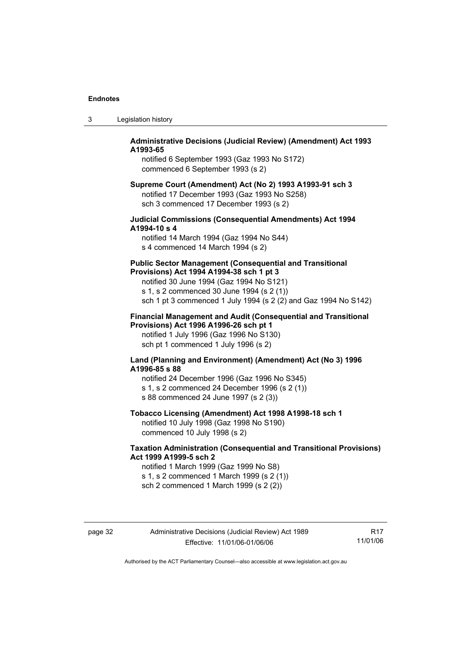| 3 | Legislation history |  |
|---|---------------------|--|
|---|---------------------|--|

#### **Administrative Decisions (Judicial Review) (Amendment) Act 1993 A1993-65**

notified 6 September 1993 (Gaz 1993 No S172) commenced 6 September 1993 (s 2)

#### **Supreme Court (Amendment) Act (No 2) 1993 A1993-91 sch 3**  notified 17 December 1993 (Gaz 1993 No S258)

sch 3 commenced 17 December 1993 (s 2)

#### **Judicial Commissions (Consequential Amendments) Act 1994 A1994-10 s 4**

notified 14 March 1994 (Gaz 1994 No S44) s 4 commenced 14 March 1994 (s 2)

#### **Public Sector Management (Consequential and Transitional Provisions) Act 1994 A1994-38 sch 1 pt 3**

notified 30 June 1994 (Gaz 1994 No S121) s 1, s 2 commenced 30 June 1994 (s 2 (1)) sch 1 pt 3 commenced 1 July 1994 (s 2 (2) and Gaz 1994 No S142)

#### **Financial Management and Audit (Consequential and Transitional Provisions) Act 1996 A1996-26 sch pt 1**

notified 1 July 1996 (Gaz 1996 No S130) sch pt 1 commenced 1 July 1996 (s 2)

#### **Land (Planning and Environment) (Amendment) Act (No 3) 1996 A1996-85 s 88**

notified 24 December 1996 (Gaz 1996 No S345) s 1, s 2 commenced 24 December 1996 (s 2 (1)) s 88 commenced 24 June 1997 (s 2 (3))

# **Tobacco Licensing (Amendment) Act 1998 A1998-18 sch 1**

notified 10 July 1998 (Gaz 1998 No S190) commenced 10 July 1998 (s 2)

#### **Taxation Administration (Consequential and Transitional Provisions) Act 1999 A1999-5 sch 2**

notified 1 March 1999 (Gaz 1999 No S8) s 1, s 2 commenced 1 March 1999 (s 2 (1)) sch 2 commenced 1 March 1999 (s 2 (2))

page 32 Administrative Decisions (Judicial Review) Act 1989 Effective: 11/01/06-01/06/06

R17 11/01/06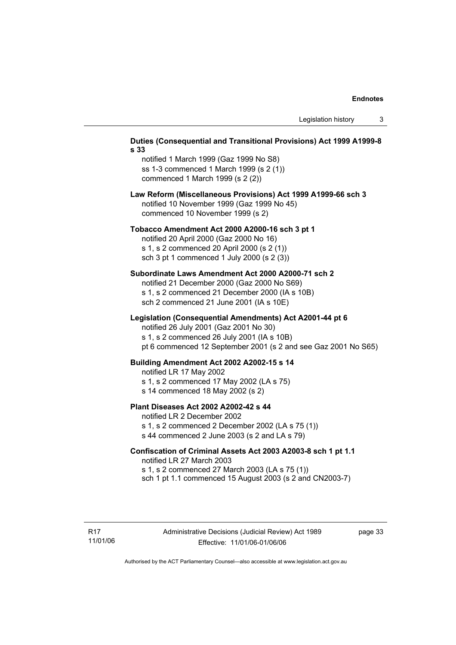| s 33 | Duties (Consequential and Transitional Provisions) Act 1999 A1999-8                                                                                                                                                |  |  |
|------|--------------------------------------------------------------------------------------------------------------------------------------------------------------------------------------------------------------------|--|--|
|      | notified 1 March 1999 (Gaz 1999 No S8)<br>ss 1-3 commenced 1 March 1999 (s 2 (1))<br>commenced 1 March 1999 (s 2 (2))                                                                                              |  |  |
|      | Law Reform (Miscellaneous Provisions) Act 1999 A1999-66 sch 3<br>notified 10 November 1999 (Gaz 1999 No 45)<br>commenced 10 November 1999 (s 2)                                                                    |  |  |
|      | Tobacco Amendment Act 2000 A2000-16 sch 3 pt 1<br>notified 20 April 2000 (Gaz 2000 No 16)<br>s 1, s 2 commenced 20 April 2000 (s 2 (1))<br>sch 3 pt 1 commenced 1 July 2000 (s 2 (3))                              |  |  |
|      | Subordinate Laws Amendment Act 2000 A2000-71 sch 2<br>notified 21 December 2000 (Gaz 2000 No S69)<br>s 1, s 2 commenced 21 December 2000 (IA s 10B)<br>sch 2 commenced 21 June 2001 (IA s 10E)                     |  |  |
|      | Legislation (Consequential Amendments) Act A2001-44 pt 6<br>notified 26 July 2001 (Gaz 2001 No 30)<br>s 1, s 2 commenced 26 July 2001 (IA s 10B)<br>pt 6 commenced 12 September 2001 (s 2 and see Gaz 2001 No S65) |  |  |
|      | Building Amendment Act 2002 A2002-15 s 14<br>notified LR 17 May 2002<br>s 1, s 2 commenced 17 May 2002 (LA s 75)<br>s 14 commenced 18 May 2002 (s 2)                                                               |  |  |
|      | <b>Plant Diseases Act 2002 A2002-42 s 44</b><br>notified LR 2 December 2002<br>s 1, s 2 commenced 2 December 2002 (LA s 75 (1))<br>s 44 commenced 2 June 2003 (s 2 and LA s 79)                                    |  |  |
|      | Confiscation of Criminal Assets Act 2003 A2003-8 sch 1 pt 1.1<br>notified LR 27 March 2003<br>s 1, s 2 commenced 27 March 2003 (LA s 75 (1))<br>sch 1 pt 1.1 commenced 15 August 2003 (s 2 and CN2003-7)           |  |  |
|      |                                                                                                                                                                                                                    |  |  |

page 33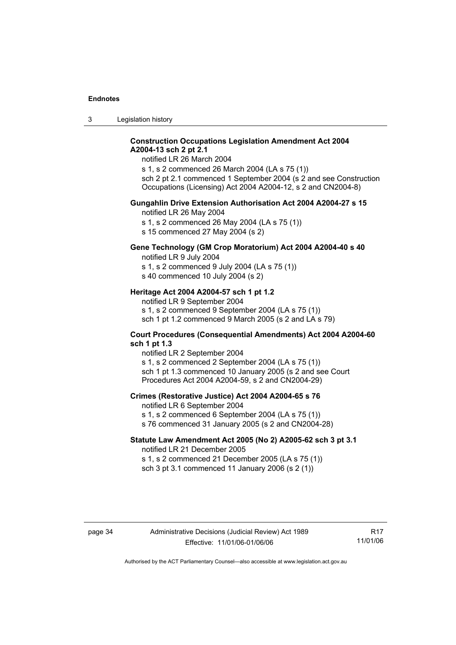3 Legislation history

#### **Construction Occupations Legislation Amendment Act 2004 A2004-13 sch 2 pt 2.1**

notified LR 26 March 2004

s 1, s 2 commenced 26 March 2004 (LA s 75 (1)) sch 2 pt 2.1 commenced 1 September 2004 (s 2 and see Construction Occupations (Licensing) Act 2004 A2004-12, s 2 and CN2004-8)

#### **Gungahlin Drive Extension Authorisation Act 2004 A2004-27 s 15**

notified LR 26 May 2004

s 1, s 2 commenced 26 May 2004 (LA s 75 (1))

s 15 commenced 27 May 2004 (s 2)

# **Gene Technology (GM Crop Moratorium) Act 2004 A2004-40 s 40**

notified LR 9 July 2004

s 1, s 2 commenced 9 July 2004 (LA s 75 (1)) s 40 commenced 10 July 2004 (s 2)

## **Heritage Act 2004 A2004-57 sch 1 pt 1.2**

notified LR 9 September 2004 s 1, s 2 commenced 9 September 2004 (LA s 75 (1)) sch 1 pt 1.2 commenced 9 March 2005 (s 2 and LA s 79)

#### **Court Procedures (Consequential Amendments) Act 2004 A2004-60 sch 1 pt 1.3**

notified LR 2 September 2004 s 1, s 2 commenced 2 September 2004 (LA s 75 (1)) sch 1 pt 1.3 commenced 10 January 2005 (s 2 and see Court Procedures Act 2004 A2004-59, s 2 and CN2004-29)

#### **Crimes (Restorative Justice) Act 2004 A2004-65 s 76**

notified LR 6 September 2004

- s 1, s 2 commenced 6 September 2004 (LA s 75 (1))
- s 76 commenced 31 January 2005 (s 2 and CN2004-28)

### **Statute Law Amendment Act 2005 (No 2) A2005-62 sch 3 pt 3.1**

notified LR 21 December 2005 s 1, s 2 commenced 21 December 2005 (LA s 75 (1)) sch 3 pt 3.1 commenced 11 January 2006 (s 2 (1))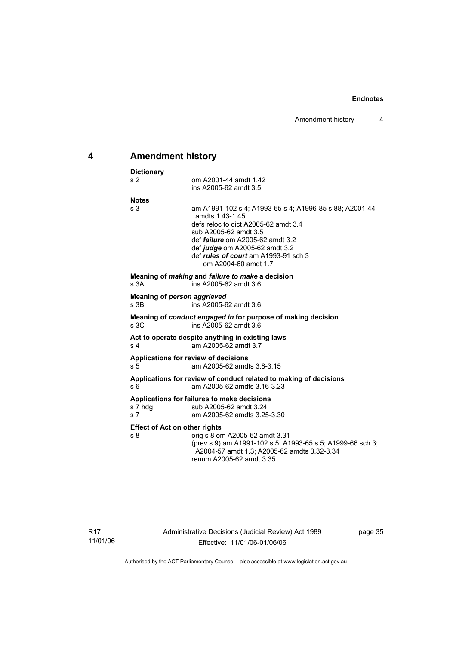# **4 Amendment history**

| <b>Dictionary</b>                                      |                                                                                                                                                                                                                                                                                          |
|--------------------------------------------------------|------------------------------------------------------------------------------------------------------------------------------------------------------------------------------------------------------------------------------------------------------------------------------------------|
| s <sub>2</sub>                                         | om A2001-44 amdt 1.42<br>ins A2005-62 amdt 3.5                                                                                                                                                                                                                                           |
| <b>Notes</b>                                           |                                                                                                                                                                                                                                                                                          |
| s <sub>3</sub>                                         | am A1991-102 s 4; A1993-65 s 4; A1996-85 s 88; A2001-44<br>amdts 1.43-1.45<br>defs reloc to dict A2005-62 amdt 3.4<br>sub A2005-62 amdt 3.5<br>def <i>failure</i> om A2005-62 amdt 3.2<br>def judge om A2005-62 amdt 3.2<br>def rules of court am A1993-91 sch 3<br>om A2004-60 amdt 1.7 |
| s <sub>3A</sub>                                        | Meaning of <i>making</i> and <i>failure to make</i> a decision<br>ins A2005-62 amdt 3.6                                                                                                                                                                                                  |
| <b>Meaning of person aggrieved</b><br>s 3B             | ins A2005-62 amdt 3.6                                                                                                                                                                                                                                                                    |
| s <sub>3C</sub>                                        | Meaning of conduct engaged in for purpose of making decision<br>ins A2005-62 amdt 3.6                                                                                                                                                                                                    |
| s <sub>4</sub>                                         | Act to operate despite anything in existing laws<br>am A2005-62 amdt 3.7                                                                                                                                                                                                                 |
| s <sub>5</sub>                                         | Applications for review of decisions<br>am A2005-62 amdts 3.8-3.15                                                                                                                                                                                                                       |
| s 6                                                    | Applications for review of conduct related to making of decisions<br>am A2005-62 amdts 3.16-3.23                                                                                                                                                                                         |
| s 7 hdg<br>s <sub>7</sub>                              | Applications for failures to make decisions<br>sub A2005-62 amdt 3.24<br>am A2005-62 amdts 3.25-3.30                                                                                                                                                                                     |
| <b>Effect of Act on other rights</b><br>s <sub>8</sub> | orig s 8 om A2005-62 amdt 3.31<br>(prev s 9) am A1991-102 s 5; A1993-65 s 5; A1999-66 sch 3;<br>A2004-57 amdt 1.3; A2005-62 amdts 3.32-3.34<br>renum A2005-62 amdt 3.35                                                                                                                  |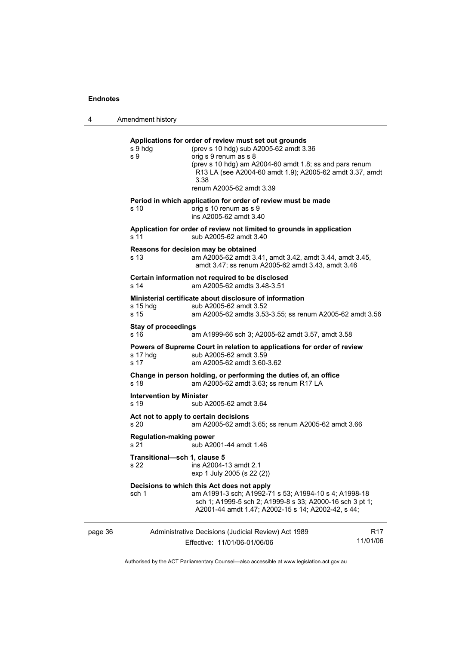4 Amendment history

|         | s 9 hdg<br>s 9                          | Applications for order of review must set out grounds<br>(prev s 10 hdg) sub A2005-62 amdt 3.36<br>orig s 9 renum as s 8<br>(prev s 10 hdg) am A2004-60 amdt 1.8; ss and pars renum<br>R13 LA (see A2004-60 amdt 1.9); A2005-62 amdt 3.37, amdt<br>3.38<br>renum A2005-62 amdt 3.39 |                 |
|---------|-----------------------------------------|-------------------------------------------------------------------------------------------------------------------------------------------------------------------------------------------------------------------------------------------------------------------------------------|-----------------|
|         | s 10                                    | Period in which application for order of review must be made<br>orig s 10 renum as s 9<br>ins A2005-62 amdt 3.40                                                                                                                                                                    |                 |
|         | s 11                                    | Application for order of review not limited to grounds in application<br>sub A2005-62 amdt 3.40                                                                                                                                                                                     |                 |
|         | s 13                                    | Reasons for decision may be obtained<br>am A2005-62 amdt 3.41, amdt 3.42, amdt 3.44, amdt 3.45,<br>amdt 3.47; ss renum A2005-62 amdt 3.43, amdt 3.46                                                                                                                                |                 |
|         | s 14                                    | Certain information not required to be disclosed<br>am A2005-62 amdts 3.48-3.51                                                                                                                                                                                                     |                 |
|         | $s$ 15 hdg<br>s 15                      | Ministerial certificate about disclosure of information<br>sub A2005-62 amdt 3.52<br>am A2005-62 amdts 3.53-3.55; ss renum A2005-62 amdt 3.56                                                                                                                                       |                 |
|         | <b>Stay of proceedings</b><br>s 16      | am A1999-66 sch 3; A2005-62 amdt 3.57, amdt 3.58                                                                                                                                                                                                                                    |                 |
|         | s 17 hdg<br>s 17                        | Powers of Supreme Court in relation to applications for order of review<br>sub A2005-62 amdt 3.59<br>am A2005-62 amdt 3.60-3.62                                                                                                                                                     |                 |
|         | s 18                                    | Change in person holding, or performing the duties of, an office<br>am A2005-62 amdt 3.63; ss renum R17 LA                                                                                                                                                                          |                 |
|         | <b>Intervention by Minister</b><br>s 19 | sub A2005-62 amdt 3.64                                                                                                                                                                                                                                                              |                 |
|         | s 20                                    | Act not to apply to certain decisions<br>am A2005-62 amdt 3.65; ss renum A2005-62 amdt 3.66                                                                                                                                                                                         |                 |
|         | <b>Regulation-making power</b><br>s 21  | sub A2001-44 amdt 1.46                                                                                                                                                                                                                                                              |                 |
|         | Transitional-sch 1, clause 5<br>s 22    | ins A2004-13 amdt 2.1<br>exp 1 July 2005 (s 22 (2))                                                                                                                                                                                                                                 |                 |
|         | sch 1                                   | Decisions to which this Act does not apply<br>am A1991-3 sch; A1992-71 s 53; A1994-10 s 4; A1998-18<br>sch 1; A1999-5 sch 2; A1999-8 s 33; A2000-16 sch 3 pt 1;<br>A2001-44 amdt 1.47; A2002-15 s 14; A2002-42, s 44;                                                               |                 |
| page 36 |                                         | Administrative Decisions (Judicial Review) Act 1989                                                                                                                                                                                                                                 | R <sub>17</sub> |

Effective: 11/01/06-01/06/06

11/01/06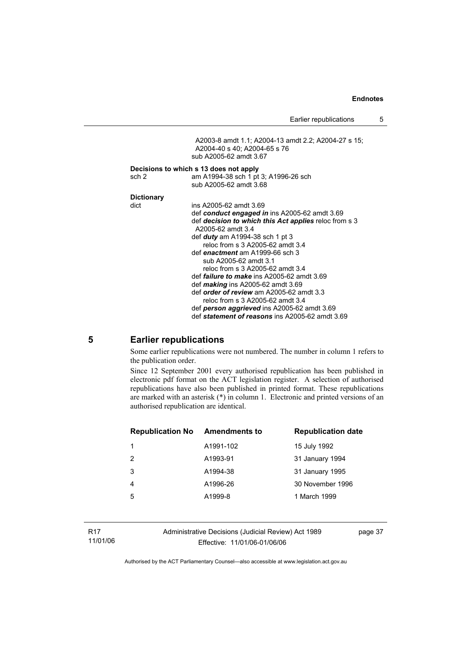Earlier republications 5

A2003-8 amdt 1.1; A2004-13 amdt 2.2; A2004-27 s 15; A2004-40 s 40; A2004-65 s 76 sub A2005-62 amdt 3.67 **Decisions to which s 13 does not apply**  sch 2 am A1994-38 sch 1 pt 3; A1996-26 sch sub A2005-62 amdt 3.68 **Dictionary**  dict ins A2005-62 amdt 3.69 def *conduct engaged in* ins A2005-62 amdt 3.69 def *decision to which this Act applies* reloc from s 3 A2005-62 amdt 3.4 def *duty* am A1994-38 sch 1 pt 3 reloc from s 3 A2005-62 amdt 3.4 def *enactment* am A1999-66 sch 3 sub A2005-62 amdt 3.1 reloc from s 3 A2005-62 amdt 3.4 def *failure to make* ins A2005-62 amdt 3.69 def *making* ins A2005-62 amdt 3.69 def *order of review* am A2005-62 amdt 3.3 reloc from s 3 A2005-62 amdt 3.4 def *person aggrieved* ins A2005-62 amdt 3.69 def *statement of reasons* ins A2005-62 amdt 3.69

#### **5 Earlier republications**

Some earlier republications were not numbered. The number in column 1 refers to the publication order.

Since 12 September 2001 every authorised republication has been published in electronic pdf format on the ACT legislation register. A selection of authorised republications have also been published in printed format. These republications are marked with an asterisk (\*) in column 1. Electronic and printed versions of an authorised republication are identical.

| <b>Republication No</b> | Amendments to | <b>Republication date</b> |
|-------------------------|---------------|---------------------------|
|                         | A1991-102     | 15 July 1992              |
| 2                       | A1993-91      | 31 January 1994           |
| 3                       | A1994-38      | 31 January 1995           |
| 4                       | A1996-26      | 30 November 1996          |
| 5                       | A1999-8       | 1 March 1999              |
|                         |               |                           |

Administrative Decisions (Judicial Review) Act 1989 Effective: 11/01/06-01/06/06

page 37